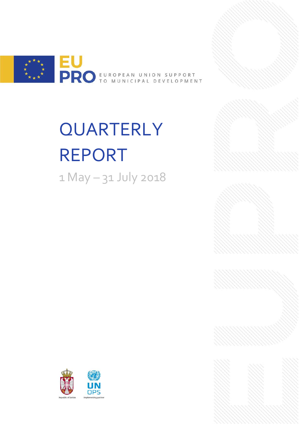

# **QUARTERLY** REPORT 1 May – 31 July 2018



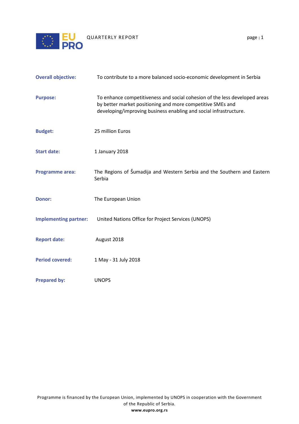

| <b>Overall objective:</b> | To contribute to a more balanced socio-economic development in Serbia |
|---------------------------|-----------------------------------------------------------------------|

| <b>Purpose:</b>              | To enhance competitiveness and social cohesion of the less developed areas<br>by better market positioning and more competitive SMEs and<br>developing/improving business enabling and social infrastructure. |
|------------------------------|---------------------------------------------------------------------------------------------------------------------------------------------------------------------------------------------------------------|
| <b>Budget:</b>               | 25 million Euros                                                                                                                                                                                              |
| <b>Start date:</b>           | 1 January 2018                                                                                                                                                                                                |
| <b>Programme area:</b>       | The Regions of Šumadija and Western Serbia and the Southern and Eastern<br>Serbia                                                                                                                             |
| <b>Donor:</b>                | The European Union                                                                                                                                                                                            |
| <b>Implementing partner:</b> | United Nations Office for Project Services (UNOPS)                                                                                                                                                            |
| <b>Report date:</b>          | August 2018                                                                                                                                                                                                   |

- Period covered: 1 May 31 July 2018
- **Prepared by:** UNOPS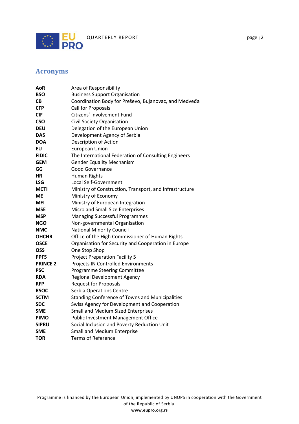

# <span id="page-2-0"></span>**Acronyms**

| AoR             | Area of Responsibility                                  |
|-----------------|---------------------------------------------------------|
| <b>BSO</b>      | <b>Business Support Organisation</b>                    |
| CВ              | Coordination Body for Preševo, Bujanovac, and Medveda   |
| <b>CFP</b>      | Call for Proposals                                      |
| <b>CIF</b>      | Citizens' Involvement Fund                              |
| <b>CSO</b>      | Civil Society Organisation                              |
| <b>DEU</b>      | Delegation of the European Union                        |
| <b>DAS</b>      | Development Agency of Serbia                            |
| <b>DOA</b>      | Description of Action                                   |
| EU              | <b>European Union</b>                                   |
| <b>FIDIC</b>    | The International Federation of Consulting Engineers    |
| <b>GEM</b>      | <b>Gender Equality Mechanism</b>                        |
| GG              | <b>Good Governance</b>                                  |
| НR              | Human Rights                                            |
| <b>LSG</b>      | Local Self-Government                                   |
| <b>MCTI</b>     | Ministry of Construction, Transport, and Infrastructure |
| МE              | Ministry of Economy                                     |
| MEI             | Ministry of European Integration                        |
| <b>MSE</b>      | Micro and Small Size Enterprises                        |
| <b>MSP</b>      | <b>Managing Successful Programmes</b>                   |
| NGO             | Non-governmental Organisation                           |
| NMC             | <b>National Minority Council</b>                        |
| <b>OHCHR</b>    | Office of the High Commissioner of Human Rights         |
| <b>OSCE</b>     | Organisation for Security and Cooperation in Europe     |
| OSS             | One Stop Shop                                           |
| <b>PPF5</b>     | <b>Project Preparation Facility 5</b>                   |
| <b>PRINCE 2</b> | Projects IN Controlled Environments                     |
| <b>PSC</b>      | <b>Programme Steering Committee</b>                     |
| <b>RDA</b>      | <b>Regional Development Agency</b>                      |
| <b>RFP</b>      | <b>Request for Proposals</b>                            |
| <b>RSOC</b>     | Serbia Operations Centre                                |
| <b>SCTM</b>     | <b>Standing Conference of Towns and Municipalities</b>  |
| <b>SDC</b>      | Swiss Agency for Development and Cooperation            |
| <b>SME</b>      | <b>Small and Medium Sized Enterprises</b>               |
| <b>PIMO</b>     | Public Investment Management Office                     |
| <b>SIPRU</b>    | Social Inclusion and Poverty Reduction Unit             |
| <b>SME</b>      | <b>Small and Medium Enterprise</b>                      |
| <b>TOR</b>      | <b>Terms of Reference</b>                               |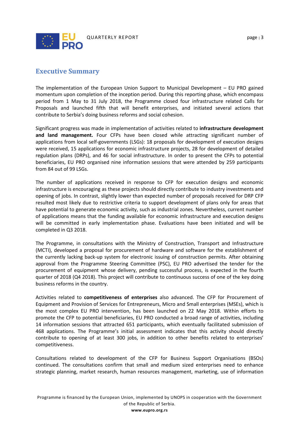

# <span id="page-3-0"></span>**Executive Summary**

The implementation of the European Union Support to Municipal Development – EU PRO gained momentum upon completion of the inception period. During this reporting phase, which encompass period from 1 May to 31 July 2018, the Programme closed four infrastructure related Calls for Proposals and launched fifth that will benefit enterprises, and initiated several actions that contribute to Serbia's doing business reforms and social cohesion.

Significant progress was made in implementation of activities related to **infrastructure development and land management.** Four CFPs have been closed while attracting significant number of applications from local self-governments (LSGs): 18 proposals for development of execution designs were received, 15 applications for economic infrastructure projects, 28 for development of detailed regulation plans (DRPs), and 46 for social infrastructure. In order to present the CFPs to potential beneficiaries, EU PRO organised nine information sessions that were attended by 259 participants from 84 out of 99 LSGs.

The number of applications received in response to CFP for execution designs and economic infrastructure is encouraging as these projects should directly contribute to industry investments and opening of jobs. In contrast, slightly lower than expected number of proposals received for DRP CFP resulted most likely due to restrictive criteria to support development of plans only for areas that have potential to generate economic activity, such as industrial zones. Nevertheless, current number of applications means that the funding available for economic infrastructure and execution designs will be committed in early implementation phase. Evaluations have been initiated and will be completed in Q3 2018.

The Programme, in consultations with the Ministry of Construction, Transport and Infrastructure (MCTI), developed a proposal for procurement of hardware and software for the establishment of the currently lacking back-up system for electronic issuing of construction permits. After obtaining approval from the Programme Steering Committee (PSC), EU PRO advertised the tender for the procurement of equipment whose delivery, pending successful process, is expected in the fourth quarter of 2018 (Q4 2018). This project will contribute to continuous success of one of the key doing business reforms in the country.

Activities related to **competitiveness of enterprises** also advanced. The CFP for Procurement of Equipment and Provision of Services for Entrepreneurs, Micro and Small enterprises (MSEs), which is the most complex EU PRO intervention, has been launched on 22 May 2018. Within efforts to promote the CFP to potential beneficiaries, EU PRO conducted a broad range of activities, including 14 information sessions that attracted 651 participants, which eventually facilitated submission of 468 applications. The Programme's initial assessment indicates that this activity should directly contribute to opening of at least 300 jobs, in addition to other benefits related to enterprises' competitiveness.

Consultations related to development of the CFP for Business Support Organisations (BSOs) continued. The consultations confirm that small and medium sized enterprises need to enhance strategic planning, market research, human resources management, marketing, use of information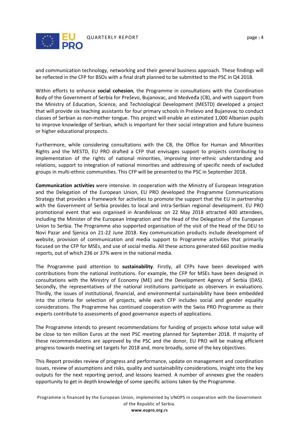

and communication technology, networking and their general business approach. These findings will be reflected in the CFP for BSOs with a final draft planned to be submitted to the PSC in Q4 2018.

Within efforts to enhance **social cohesion**, the Programme in consultations with the Coordination Body of the Government of Serbia for Preševo, Bujanovac, and Medveđa (CB), and with support from the Ministry of Education, Science, and Technological Development (MESTD) developed a project that will provide six teaching assistants for four primary schools in Preševo and Bujanovac to conduct classes of Serbian as non-mother tongue. This project will enable an estimated 1,000 Albanian pupils to improve knowledge of Serbian, which is important for their social integration and future business or higher educational prospects.

Furthermore, while considering consultations with the CB, the Office for Human and Minorities Rights and the MESTD, EU PRO drafted a CFP that envisages support to projects contributing to implementation of the rights of national minorities, improving inter-ethnic understanding and relations, support to integration of national minorities and addressing of specific needs of excluded groups in multi-ethnic communities. This CFP will be presented to the PSC in September 2018.

**Communication activities** were intensive. In cooperation with the Ministry of European Integration and the Delegation of the European Union, EU PRO developed the Programme Communications Strategy that provides a framework for activities to promote the support that the EU in partnership with the Government of Serbia provides to local and intra-Serbian regional development. EU PRO promotional event that was organised in Aranđelovac on 22 May 2018 attracted 400 attendees, including the Minister of the European Integration and the Head of the Delegation of the European Union to Serbia. The Programme also supported organisation of the visit of the Head of the DEU to Novi Pazar and Sjenica on 21-22 June 2018. Key communication products include development of website, provision of communication and media support to Programme activities that primarily focused on the CFP for MSEs, and use of social media. All these actions generated 660 positive media reports, out of which 236 or 37% were in the national media.

The Programme paid attention to **sustainability**. Firstly, all CFPs have been developed with contributions from the national institutions. For example, the CFP for MSEs have been designed in consultations with the Ministry of Economy (ME) and the Development Agency of Serbia (DAS). Secondly, the representatives of the national institutions participate as observers in evaluations. Thirdly, the issues of institutional, financial, and environmental sustainability have been embedded into the criteria for selection of projects, while each CFP includes social and gender equality considerations. The Programme has continued cooperation with the Swiss PRO Programme as their experts contribute to assessments of good governance aspects of applications.

The Programme intends to present recommendations for funding of projects whose total value will be close to ten million Euros at the next PSC meeting planned for September 2018. If majority of these recommendations are approved by the PSC and the donor, EU PRO will be making efficient progress towards meeting set targets for 2018 and, more broadly, some of the key objectives.

This Report provides review of progress and performance, update on management and coordination issues, review of assumptions and risks, quality and sustainability considerations, insight into the key outputs for the next reporting period, and lessons learned. A number of annexes give the readers opportunity to get in depth knowledge of some specific actions taken by the Programme.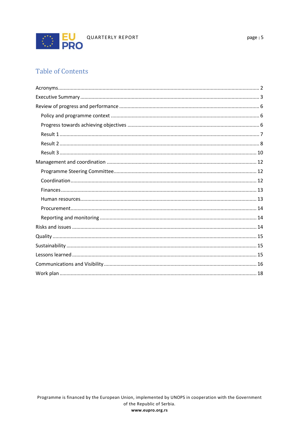

# **Table of Contents**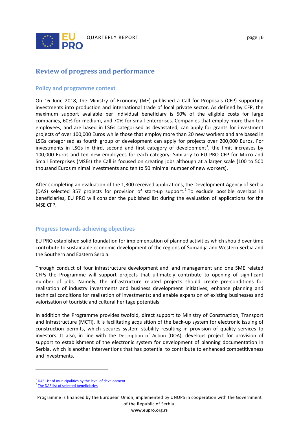

# <span id="page-6-0"></span>**Review of progress and performance**

#### <span id="page-6-1"></span>**Policy and programme context**

On 16 June 2018, the Ministry of Economy (ME) published a Call for Proposals (CFP) supporting investments into production and international trade of local private sector. As defined by CFP, the maximum support available per individual beneficiary is 50% of the eligible costs for large companies, 60% for medium, and 70% for small enterprises. Companies that employ more than ten employees, and are based in LSGs categorised as devastated, can apply for grants for investment projects of over 100,000 Euros while those that employ more than 20 new workers and are based in LSGs categorised as fourth group of development can apply for projects over 200,000 Euros. For investments in LSGs in third, second and first category of development<sup>[1](#page-6-3)</sup>, the limit increases by 100,000 Euros and ten new employees for each category. Similarly to EU PRO CFP for Micro and Small Enterprises (MSEs) the Call is focused on creating jobs although at a larger scale (100 to 500 thousand Euros minimal investments and ten to 50 minimal number of new workers).

After completing an evaluation of the 1,300 received applications, the Development Agency of Serbia (DAS) selected 357 projects for provision of start-up support. [2](#page-6-4) To exclude possible overlaps in beneficiaries, EU PRO will consider the published list during the evaluation of applications for the MSE CFP.

#### <span id="page-6-2"></span>**Progress towards achieving objectives**

EU PRO established solid foundation for implementation of planned activities which should over time contribute to sustainable economic development of the regions of Šumadija and Western Serbia and the Southern and Eastern Serbia.

Through conduct of four infrastructure development and land management and one SME related CFPs the Programme will support projects that ultimately contribute to opening of significant number of jobs. Namely, the infrastructure related projects should create pre-conditions for realisation of industry investments and business development initiatives; enhance planning and technical conditions for realisation of investments; and enable expansion of existing businesses and valorisation of touristic and cultural heritage potentials.

In addition the Programme provides twofold, direct support to Ministry of Construction, Transport and Infrastructure (MCTI). It is facilitating acquisition of the back-up system for electronic issuing of construction permits, which secures system stability resulting in provision of quality services to investors. It also, in line with the Description of Action (DOA), develops project for provision of support to establishment of the electronic system for development of planning documentation in Serbia, which is another interventions that has potential to contribute to enhanced competitiveness and investments.

 $\overline{a}$ 

<sup>&</sup>lt;sup>1</sup> [DAS List of municipalities by the level of development](http://ras.gov.rs/uploads/2016/03/list-of-municipalities-by-the-level-of-development.pdf)

<span id="page-6-4"></span><span id="page-6-3"></span><sup>&</sup>lt;sup>2</sup> The DAS list of selected beneficiaries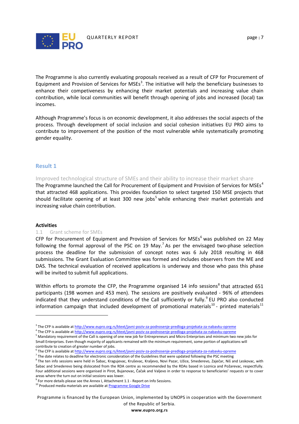

The Programme is also currently evaluating proposals received as a result of CFP for Procurement of Equipment and Provision of Services for MSEs<sup>[3](#page-7-1)</sup>. The initiative will help the beneficiary businesses to enhance their competiveness by enhancing their market potentials and increasing value chain contribution, while local communities will benefit through opening of jobs and increased (local) tax incomes.

Although Programme's focus is on economic development, it also addresses the social aspects of the process. Through development of social inclusion and social cohesion initiatives EU PRO aims to contribute to improvement of the position of the most vulnerable while systematically promoting gender equality.

#### <span id="page-7-0"></span>**Result 1**

Improved technological structure of SMEs and their ability to increase their market share

The Programme launched the Call for Procurement of Equipment and Provision of Services for MSEs<sup>[4](#page-7-2)</sup> that attracted 468 applications. This provides foundation to select targeted 150 MSE projects that should facilitate opening of at least 300 new jobs<sup>[5](#page-7-3)</sup> while enhancing their market potentials and increasing value chain contribution.

#### **Activities**

 $\overline{a}$ 

#### 1.1 Grant scheme for SMEs

CFP for Procurement of Equipment and Provision of Services for MSEs<sup>[6](#page-7-4)</sup> was published on 22 May following the formal approval of the PSC on 19 May.<sup>[7](#page-7-5)</sup> As per the envisaged two-phase selection process the deadline for the submission of concept notes was 6 July 2018 resulting in 468 submissions. The Grant Evaluation Committee was formed and includes observers from the ME and DAS. The technical evaluation of received applications is underway and those who pass this phase will be invited to submit full applications.

Within efforts to promote the CFP, the Programme organised 14 info sessions<sup>[8](#page-7-6)</sup> that attracted 651 participants (198 women and 453 men). The sessions are positively evaluated - 96% of attendees indicated that they understand conditions of the Call sufficiently or fully.<sup>[9](#page-7-7)</sup> EU PRO also conducted information campaign that included development of promotional materials<sup>[10](#page-7-8)</sup> - printed materials<sup>[11](#page-7-9)</sup>

Programme is financed by the European Union, implemented by UNOPS in cooperation with the Government of the Republic of Serbia.

<span id="page-7-1"></span><sup>&</sup>lt;sup>3</sup> The CFP is available a[t http://www.eupro.org.rs/ktext/javni-poziv-za-podnosenje-predloga-projekata-za-nabavku-opreme](http://www.eupro.org.rs/ktext/javni-poziv-za-podnosenje-predloga-projekata-za-nabavku-opreme)<br><sup>4</sup> The CFP is available at http://www.eupro.org.rs/ktext/javni-poziv-za-podnosenje-predloga-projekat

<span id="page-7-2"></span>

<span id="page-7-3"></span><sup>&</sup>lt;sup>5</sup> Mandatory requirement of the Call is opening of one new job for Entrepreneurs and Micro Enterprises and minimum two new jobs for Small Enterprises. Even though majority of applicants remained with the minimum requirement, some portion of applications will contribute to creation of greater number of jobs.

<span id="page-7-4"></span><sup>&</sup>lt;sup>6</sup> The CFP is available a[t http://www.eupro.org.rs/ktext/javni-poziv-za-podnosenje-predloga-projekata-za-nabavku-opreme](http://www.eupro.org.rs/ktext/javni-poziv-za-podnosenje-predloga-projekata-za-nabavku-opreme)<br><sup>7</sup> The date relates to deadline for electronic consideration of the Guidelines that were updated fol

<span id="page-7-6"></span><span id="page-7-5"></span><sup>&</sup>lt;sup>8</sup> The ten info sessions were held in Šabac, Kragujevac, Kruševac, Kraljevo, Novi Pazar, Užice, Smederevo, Zaječar, Niš and Leskovac, with Šabac and Smederevo being dislocated from the RDA centre as recommended by the RDAs based in Loznica and Požarevac, respectfully. Four additional sessions were organised in Pirot, Bujanovac, Čačak and Valjevo in order to response to beneficiaries' requests or to cover

<span id="page-7-9"></span><span id="page-7-7"></span>areas where the turn out on initial sessions was lower.<br><sup>9</sup> For more details please see the Annex I, Attachment 1.1 - Report on Info Sessions.<br><sup>10</sup> Produced media materials are available at <u>Programme Google Drive</u>

<span id="page-7-8"></span>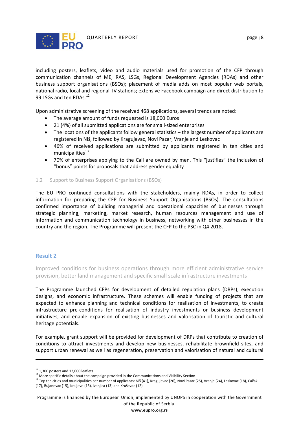

including posters, leaflets, video and audio materials used for promotion of the CFP through communication channels of ME, RAS, LSGs, Regional Development Agencies (RDAs) and other business support organisations (BSOs); placement of media adds on most popular web portals, national radio, local and regional TV stations; extensive Facebook campaign and direct distribution to 99 LSGs and ten RDAs.<sup>[12](#page-8-1)</sup>

Upon administrative screening of the received 468 applications, several trends are noted:

- The average amount of funds requested is 18,000 Euros
- 21 (4%) of all submitted applications are for small-sized enterprises
- The locations of the applicants follow general statistics the largest number of applicants are registered in Niš, followed by Kragujevac, Novi Pazar, Vranje and Leskovac
- 46% of received applications are submitted by applicants registered in ten cities and municipalities $13$
- 70% of enterprises applying to the Call are owned by men. This "justifies" the inclusion of "bonus" points for proposals that address gender equality

#### 1.2 Support to Business Support Organisations (BSOs)

The EU PRO continued consultations with the stakeholders, mainly RDAs, in order to collect information for preparing the CFP for Business Support Organisations (BSOs). The consultations confirmed importance of building managerial and operational capacities of businesses through strategic planning, marketing, market research, human resources management and use of information and communication technology in business, networking with other businesses in the country and the region. The Programme will present the CFP to the PSC in Q4 2018.

#### <span id="page-8-0"></span>**Result 2**

 $\overline{a}$ 

Improved conditions for business operations through more efficient administrative service provision, better land management and specific small scale infrastructure investments

The Programme launched CFPs for development of detailed regulation plans (DRPs), execution designs, and economic infrastructure. These schemes will enable funding of projects that are expected to enhance planning and technical conditions for realisation of investments, to create infrastructure pre-conditions for realisation of industry investments or business development initiatives, and enable expansion of existing businesses and valorisation of touristic and cultural heritage potentials.

For example, grant support will be provided for development of DRPs that contribute to creation of conditions to attract investments and develop new businesses, rehabilitate brownfield sites, and support urban renewal as well as regeneration, preservation and valorisation of natural and cultural

Programme is financed by the European Union, implemented by UNOPS in cooperation with the Government of the Republic of Serbia.

<span id="page-8-1"></span> $11$  1,300 posters and 12,000 leaflets<br> $12$  More specific details about the campaign provided in the Communications and Visibility Section

<span id="page-8-2"></span><sup>&</sup>lt;sup>13</sup> Top ten cities and municipalities per number of applicants: Niš (41), Kragujevac (26), Novi Pazar (25), Vranje (24), Leskovac (18), Čačak (17), Bujanovac (15), Kraljevo (15), Ivanjica (13) and Kruševac (12)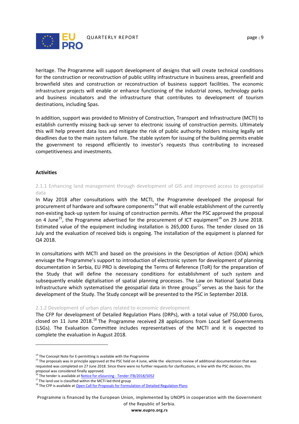

heritage. The Programme will support development of designs that will create technical conditions for the construction or reconstruction of public utility infrastructure in business areas, greenfield and brownfield sites and construction or reconstruction of business support facilities. The economic infrastructure projects will enable or enhance functioning of the industrial zones, technology parks and business incubators and the infrastructure that contributes to development of tourism destinations, including Spas.

In addition, support was provided to Ministry of Construction, Transport and Infrastructure (MCTI) to establish currently missing back-up server to electronic issuing of construction permits. Ultimately this will help prevent data loss and mitigate the risk of public authority holders missing legally set deadlines due to the main system failure. The stable system for issuing of the building permits enable the government to respond efficiently to investor's requests thus contributing to increased competitiveness and investments.

#### **Activities**

 $\overline{a}$ 

## 2.1.1 Enhancing land management through development of GIS and improved access to geospatial data

In May 2018 after consultations with the MCTI, the Programme developed the proposal for procurement of hardware and software components<sup>[14](#page-9-0)</sup> that will enable establishment of the currently non-existing back-up system for issuing of construction permits. After the PSC approved the proposal on 4 June<sup>15</sup>, the Programme advertised for the procurement of ICT equipment<sup>[16](#page-9-2)</sup> on 29 June 2018. Estimated value of the equipment including installation is 265,000 Euros. The tender closed on 16 July and the evaluation of received bids is ongoing. The installation of the equipment is planned for Q4 2018.

In consultations with MCTI and based on the provisions in the Description of Action (DOA) which envisage the Programme's support to introduction of electronic system for development of planning documentation in Serbia, EU PRO is developing the Terms of Reference (ToR) for the preparation of the Study that will define the necessary conditions for establishment of such system and subsequently enable digitalisation of spatial planning processes. The Law on National Spatial Data Infrastructure which systematised the geospatial data in three groups<sup>[17](#page-9-3)</sup> serves as the basis for the development of the Study. The Study concept will be presented to the PSC in September 2018.

#### 2.1.2 Development of urban plans related to economic development

The CFP for development of Detailed Regulation Plans (DRPs), with a total value of 750,000 Euros, closed on 11 June 20[18](#page-9-4).<sup>18</sup> The Programme received 28 applications from Local Self Governments (LSGs). The Evaluation Committee includes representatives of the MCTI and it is expected to complete the evaluation in August 2018.

Programme is financed by the European Union, implemented by UNOPS in cooperation with the Government of the Republic of Serbia.

 $14$  The Concept Note for E-permitting is available with the Programme

<span id="page-9-1"></span><span id="page-9-0"></span><sup>&</sup>lt;sup>15</sup> The proposals was in principle approved at the PSC held on 4 June, while the electronic review of additional documentation that was requested was completed on 27 June 2018. Since there were no further requests for clarifications, in line with the PSC decision, this proposal was considered finally approved.<br><sup>16</sup> The tender is available at Notice for eSourcing - Tender ITB/2018/5052

<span id="page-9-4"></span><span id="page-9-3"></span><span id="page-9-2"></span><sup>&</sup>lt;sup>17</sup> The land use is classified within the MCTI led third group<br><sup>18</sup> The CFP is available at **Open Call for Proposals for Formulation of Detailed Regulation Plans**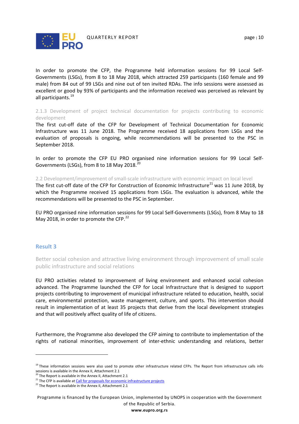

In order to promote the CFP, the Programme held information sessions for 99 Local Self-Governments (LSGs), from 8 to 18 May 2018, which attracted 259 participants (160 female and 99 male) from 84 out of 99 LSGs and nine out of ten invited RDAs. The info sessions were assessed as excellent or good by 93% of participants and the information received was perceived as relevant by all participants.<sup>[19](#page-10-1)</sup>

2.1.3 Development of project technical documentation for projects contributing to economic development

The first cut-off date of the CFP for Development of Technical Documentation for Economic Infrastructure was 11 June 2018. The Programme received 18 applications from LSGs and the evaluation of proposals is ongoing, while recommendations will be presented to the PSC in September 2018.

In order to promote the CFP EU PRO organised nine information sessions for 99 Local Self-Governments (LSGs), from 8 to 18 May [20](#page-10-2)18.<sup>20</sup>

2.2 Development/improvement of small-scale infrastructure with economic impact on local level

The first cut-off date of the CFP for Construction of Economic Infrastructure<sup>[21](#page-10-3)</sup> was 11 June 2018, by which the Programme received 15 applications from LSGs. The evaluation is advanced, while the recommendations will be presented to the PSC in September.

EU PRO organised nine information sessions for 99 Local Self-Governments (LSGs), from 8 May to 18 May 2018, in order to promote the CFP.<sup>[22](#page-10-4)</sup>

#### <span id="page-10-0"></span>**Result 3**

 $\overline{a}$ 

Better social cohesion and attractive living environment through improvement of small scale public infrastructure and social relations

EU PRO activities related to improvement of living environment and enhanced social cohesion advanced. The Programme launched the CFP for Local Infrastructure that is designed to support projects contributing to improvement of municipal infrastructure related to education, health, social care, environmental protection, waste management, culture, and sports. This intervention should result in implementation of at least 35 projects that derive from the local development strategies and that will positively affect quality of life of citizens.

Furthermore, the Programme also developed the CFP aiming to contribute to implementation of the rights of national minorities, improvement of inter-ethnic understanding and relations, better

<span id="page-10-1"></span><sup>&</sup>lt;sup>19</sup> These information sessions were also used to promote other infrastructure related CFPs. The Report from infrastructure calls info sessions is available in the Annex II, Attachment 2.1<sup>20</sup> The Report is available in the Annex II, Attachment 2.1

<span id="page-10-4"></span><span id="page-10-3"></span><span id="page-10-2"></span><sup>&</sup>lt;sup>21</sup> The CFP is available a[t Call for proposals for economic infrastructure projects](http://eupro.org.rs/en/ktext/open-call-for-proposals-for-economic-infrastructure-projects)  $22$  The Report is available in the Annex II, Attachment 2.1

Programme is financed by the European Union, implemented by UNOPS in cooperation with the Government of the Republic of Serbia.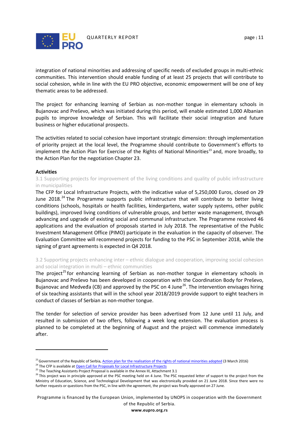

integration of national minorities and addressing of specific needs of excluded groups in multi-ethnic communities. This intervention should enable funding of at least 25 projects that will contribute to social cohesion, while in line with the EU PRO objective, economic empowerment will be one of key thematic areas to be addressed.

The project for enhancing learning of Serbian as non-mother tongue in elementary schools in Bujanovac and Preševo, which was initiated during this period, will enable estimated 1,000 Albanian pupils to improve knowledge of Serbian. This will facilitate their social integration and future business or higher educational prospects.

The activities related to social cohesion have important strategic dimension: through implementation of priority project at the local level, the Programme should contribute to Government's efforts to implement the Action Plan for Exercise of the Rights of National Minorities<sup>23</sup> and, more broadly, to the Action Plan for the negotiation Chapter 23.

#### **Activities**

 $\overline{a}$ 

3.1 Supporting projects for improvement of the living conditions and quality of public infrastructure in municipalities

The CFP for Local Infrastructure Projects, with the indicative value of 5,250,000 Euros, closed on 29 June 2018.<sup>[24](#page-11-1)</sup> The Programme supports public infrastructure that will contribute to better living conditions (schools, hospitals or health facilities, kindergartens, water supply systems, other public buildings), improved living conditions of vulnerable groups, and better waste management, through advancing and upgrade of existing social and communal infrastructure. The Programme received 46 applications and the evaluation of proposals started in July 2018. The representative of the Public Investment Management Office (PIMO) participate in the evaluation in the capacity of observer. The Evaluation Committee will recommend projects for funding to the PSC in September 2018, while the signing of grant agreements is expected in Q4 2018.

#### 3.2 Supporting projects enhancing inter – ethnic dialogue and cooperation, improving social cohesion and social integration in multi – ethnic communities

The project<sup>[25](#page-11-2)</sup> for enhancing learning of Serbian as non-mother tongue in elementary schools in Bujanovac and Preševo has been developed in cooperation with the Coordination Body for Preševo, Bujanovac and Medveđa (CB) and approved by the PSC on 4 June<sup>[26](#page-11-3)</sup>. The intervention envisages hiring of six teaching assistants that will in the school year 2018/2019 provide support to eight teachers in conduct of classes of Serbian as non-mother tongue.

The tender for selection of service provider has been advertised from 12 June until 11 July, and resulted in submission of two offers, following a week long extension. The evaluation process is planned to be completed at the beginning of August and the project will commence immediately after.

Programme is financed by the European Union, implemented by UNOPS in cooperation with the Government of the Republic of Serbia.

<span id="page-11-0"></span><sup>&</sup>lt;sup>23</sup> Government of the Republic of Serbia, <u>Action plan for the realisation of the rights of national minorities adopted</u> (3 March 2016)<br><sup>24</sup> The CFP is available at <u>Open Call for Proposals for Local Infrastructure Proje</u>

<span id="page-11-1"></span>

<span id="page-11-2"></span>

<span id="page-11-3"></span><sup>&</sup>lt;sup>26</sup> This project was in principle approved at the PSC meeting held on 4 June. The PSC requested letter of support to the project from the Ministry of Education, Science, and Technological Development that was electronically provided on 21 June 2018. Since there were no further requests or questions from the PSC, in line with the agreement, the project was finally approved on 27 June.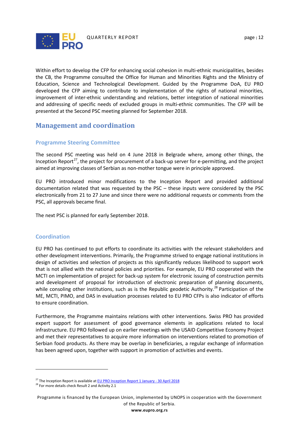

Within effort to develop the CFP for enhancing social cohesion in multi-ethnic municipalities, besides the CB, the Programme consulted the Office for Human and Minorities Rights and the Ministry of Education, Science and Technological Development. Guided by the Programme DoA, EU PRO developed the CFP aiming to contribute to implementation of the rights of national minorities, improvement of inter-ethnic understanding and relations, better integration of national minorities and addressing of specific needs of excluded groups in multi-ethnic communities. The CFP will be presented at the Second PSC meeting planned for September 2018.

# <span id="page-12-0"></span>**Management and coordination**

## <span id="page-12-1"></span>**Programme Steering Committee**

The second PSC meeting was held on 4 June 2018 in Belgrade where, among other things, the Inception Report<sup>27</sup>, the project for procurement of a back-up server for e-permitting, and the project aimed at improving classes of Serbian as non-mother tongue were in principle approved.

EU PRO introduced minor modifications to the Inception Report and provided additional documentation related that was requested by the PSC – these inputs were considered by the PSC electronically from 21 to 27 June and since there were no additional requests or comments from the PSC, all approvals became final.

The next PSC is planned for early September 2018.

## <span id="page-12-2"></span>**Coordination**

EU PRO has continued to put efforts to coordinate its activities with the relevant stakeholders and other development interventions. Primarily, the Programme strived to engage national institutions in design of activities and selection of projects as this significantly reduces likelihood to support work that is not allied with the national policies and priorities. For example, EU PRO cooperated with the MCTI on implementation of project for back-up system for electronic issuing of construction permits and development of proposal for introduction of electronic preparation of planning documents, while consoling other institutions, such as is the Republic geodetic Authority.<sup>[28](#page-12-4)</sup> Participation of the ME, MCTI, PIMO, and DAS in evaluation processes related to EU PRO CFPs is also indicator of efforts to ensure coordination.

Furthermore, the Programme maintains relations with other interventions. Swiss PRO has provided expert support for assessment of good governance elements in applications related to local infrastructure. EU PRO followed up on earlier meetings with the USAID Competitive Economy Project and met their representatives to acquire more information on interventions related to promotion of Serbian food products. As there may be overlap in beneficiaries, a regular exchange of information has been agreed upon, together with support in promotion of activities and events.

 $\overline{a}$ 

<span id="page-12-4"></span><span id="page-12-3"></span><sup>&</sup>lt;sup>27</sup> The Inception Report is available at <u>EU PRO Inception Report 1 January - 30 April 2018</u><br><sup>28</sup> For more details check Result 2 and Activity 2.1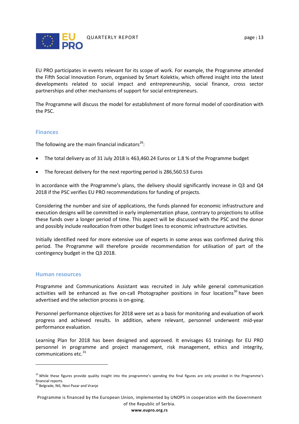

EU PRO participates in events relevant for its scope of work. For example, the Programme attended the Fifth Social Innovation Forum, organised by Smart Kolektiv, which offered insight into the latest developments related to social impact and entrepreneurship, social finance, cross sector partnerships and other mechanisms of support for social entrepreneurs.

The Programme will discuss the model for establishment of more formal model of coordination with the PSC.

#### <span id="page-13-0"></span>**Finances**

The following are the main financial indicators<sup>[29](#page-13-2)</sup>:

- The total delivery as of 31 July 2018 is 463,460.24 Euros or 1.8 % of the Programme budget
- The forecast delivery for the next reporting period is 286,560.53 Euros

In accordance with the Programme's plans, the delivery should significantly increase in Q3 and Q4 2018 if the PSC verifies EU PRO recommendations for funding of projects.

Considering the number and size of applications, the funds planned for economic infrastructure and execution designs will be committed in early implementation phase, contrary to projections to utilise these funds over a longer period of time. This aspect will be discussed with the PSC and the donor and possibly include reallocation from other budget lines to economic infrastructure activities.

Initially identified need for more extensive use of experts in some areas was confirmed during this period. The Programme will therefore provide recommendation for utilisation of part of the contingency budget in the Q3 2018.

#### <span id="page-13-1"></span>**Human resources**

Programme and Communications Assistant was recruited in July while general communication activities will be enhanced as five on-call Photographer positions in four locations<sup>[30](#page-13-3)</sup> have been advertised and the selection process is on-going.

Personnel performance objectives for 2018 were set as a basis for monitoring and evaluation of work progress and achieved results. In addition, where relevant, personnel underwent mid-year performance evaluation.

Learning Plan for 2018 has been designed and approved. It envisages 61 trainings for EU PRO personnel in programme and project management, risk management, ethics and integrity, communications etc.<sup>[31](#page-13-3)</sup>

 $\overline{a}$ 

<span id="page-13-2"></span><sup>&</sup>lt;sup>29</sup> While these figures provide quality insight into the programme's spending the final figures are only provided in the Programme's financial reports.

<span id="page-13-3"></span><sup>&</sup>lt;sup>30</sup> Belgrade, Niš, Novi Pazar and Vranje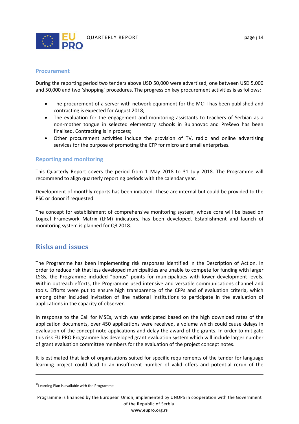

#### <span id="page-14-0"></span>**Procurement**

During the reporting period two tenders above USD 50,000 were advertised, one between USD 5,000 and 50,000 and two 'shopping' procedures. The progress on key procurement activities is as follows:

- The procurement of a server with network equipment for the MCTI has been published and contracting is expected for August 2018;
- The evaluation for the engagement and monitoring assistants to teachers of Serbian as a non-mother tongue in selected elementary schools in Bujanovac and Preševo has been finalised. Contracting is in process;
- <span id="page-14-1"></span>• Other procurement activities include the provision of TV, radio and online advertising services for the purpose of promoting the CFP for micro and small enterprises.

#### **Reporting and monitoring**

This Quarterly Report covers the period from 1 May 2018 to 31 July 2018. The Programme will recommend to align quarterly reporting periods with the calendar year.

Development of monthly reports has been initiated. These are internal but could be provided to the PSC or donor if requested.

The concept for establishment of comprehensive monitoring system, whose core will be based on Logical Framework Matrix (LFM) indicators, has been developed. Establishment and launch of monitoring system is planned for Q3 2018.

# <span id="page-14-2"></span>**Risks and issues**

The Programme has been implementing risk responses identified in the Description of Action. In order to reduce risk that less developed municipalities are unable to compete for funding with larger LSGs, the Programme included "bonus" points for municipalities with lower development levels. Within outreach efforts, the Programme used intensive and versatile communications channel and tools. Efforts were put to ensure high transparency of the CFPs and of evaluation criteria, which among other included invitation of line national institutions to participate in the evaluation of applications in the capacity of observer.

In response to the Call for MSEs, which was anticipated based on the high download rates of the application documents, over 450 applications were received, a volume which could cause delays in evaluation of the concept note applications and delay the award of the grants. In order to mitigate this risk EU PRO Programme has developed grant evaluation system which will include larger number of grant evaluation committee members for the evaluation of the project concept notes.

It is estimated that lack of organisations suited for specific requirements of the tender for language learning project could lead to an insufficient number of valid offers and potential rerun of the

 $\overline{a}$ 

Programme is financed by the European Union, implemented by UNOPS in cooperation with the Government of the Republic of Serbia.

<sup>&</sup>lt;sup>31</sup>Learning Plan is available with the Programme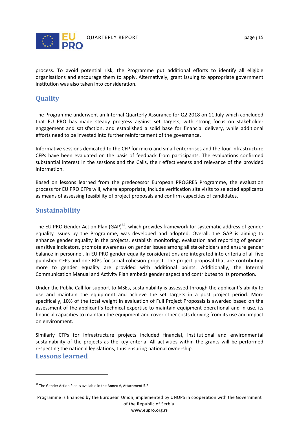

process. To avoid potential risk, the Programme put additional efforts to identify all eligible organisations and encourage them to apply. Alternatively, grant issuing to appropriate government institution was also taken into consideration.

# <span id="page-15-0"></span>**Quality**

The Programme underwent an Internal Quarterly Assurance for Q2 2018 on 11 July which concluded that EU PRO has made steady progress against set targets, with strong focus on stakeholder engagement and satisfaction, and established a solid base for financial delivery, while additional efforts need to be invested into further reinforcement of the governance.

Informative sessions dedicated to the CFP for micro and small enterprises and the four infrastructure CFPs have been evaluated on the basis of feedback from participants. The evaluations confirmed substantial interest in the sessions and the Calls, their effectiveness and relevance of the provided information.

Based on lessons learned from the predecessor European PROGRES Programme, the evaluation process for EU PRO CFPs will, where appropriate, include verification site visits to selected applicants as means of assessing feasibility of project proposals and confirm capacities of candidates.

# <span id="page-15-1"></span>**Sustainability**

The EU PRO Gender Action Plan  $(GAP)^{32}$  $(GAP)^{32}$  $(GAP)^{32}$ , which provides framework for systematic address of gender equality issues by the Programme, was developed and adopted. Overall, the GAP is aiming to enhance gender equality in the projects, establish monitoring, evaluation and reporting of gender sensitive indicators, promote awareness on gender issues among all stakeholders and ensure gender balance in personnel. In EU PRO gender equality considerations are integrated into criteria of all five published CFPs and one RfPs for social cohesion project. The project proposal that are contributing more to gender equality are provided with additional points. Additionally, the Internal Communication Manual and Activity Plan embeds gender aspect and contributes to its promotion.

Under the Public Call for support to MSEs, sustainability is assessed through the applicant's ability to use and maintain the equipment and achieve the set targets in a post project period. More specifically, 10% of the total weight in evaluation of Full Project Proposals is awarded based on the assessment of the applicant's technical expertise to maintain equipment operational and in use, its financial capacities to maintain the equipment and cover other costs deriving from its use and impact on environment.

Similarly CFPs for infrastructure projects included financial, institutional and environmental sustainability of the projects as the key criteria. All activities within the grants will be performed respecting the national legislations, thus ensuring national ownership.

## <span id="page-15-2"></span>**Lessons learned**

 $\overline{a}$ 

<span id="page-15-3"></span> $32$  The Gender Action Plan is available in the Annex V, Attachment 5.2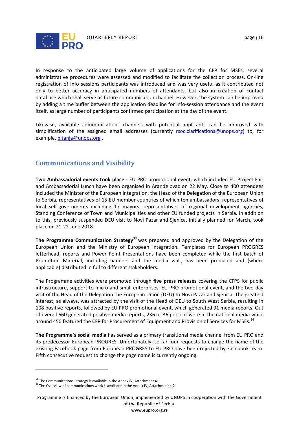

In response to the anticipated large volume of applications for the CFP for MSEs, several administrative procedures were assessed and modified to facilitate the collection process. On-line registration of info sessions participants was introduced and was very useful as it contributed not only to better accuracy in anticipated numbers of attendants, but also in creation of contact database which shall serve as future communication channel. However, the system can be improved by adding a time buffer between the application deadline for info-session attendance and the event itself, as large number of participants confirmed participation at the day of the event.

Likewise, available communications channels with potential applicants can be improved with simplification of the assigned email addresses (currently [rsoc.clarifications@unops.org\)](mailto:rsoc.clarifications@unops.org) to, for example, [pitanja@unops.org](mailto:pitanja@unops.org) .

# <span id="page-16-0"></span>**Communications and Visibility**

**Two Ambassadorial events took place** - EU PRO promotional event, which included EU Project Fair and Ambassadorial Lunch have been organised in Aranđelovac on 22 May. Close to 400 attendees included the Minister of the European Integration, the Head of the Delegation of the European Union to Serbia, representatives of 15 EU member countries of which ten ambassadors, representatives of local self-governments including 17 mayors, representatives of regional development agencies, Standing Conference of Town and Municipalities and other EU funded projects in Serbia. In addition to this, previously suspended DEU visit to Novi Pazar and Sjenica, initially planned for March, took place on 21-22 June 2018.

**The Programme Communication Strategy**<sup>[33](#page-16-1)</sup> was prepared and approved by the Delegation of the European Union and the Ministry of European Integration**.** Templates for European PROGRES letterhead, reports and Power Point Presentations have been completed while the first batch of Promotion Material, including banners and the media wall, has been produced and (where applicable) distributed in full to different stakeholders.

The Programme activities were promoted through **five press releases** covering the CFPS for public infrastructure, support to micro and small enterprises, EU PRO promotional event, and the two-day visit of the Head of the Delegation the European Union (DEU) to Novi Pazar and Sjenica. The greatest interest, as always, was attracted by the visit of the Head of DEU to South West Serbia, resulting in 108 positive reports, followed by EU PRO promotional event, which generated 91 media reports. Out of overall 660 generated positive media reports, 236 or 36 percent were in the national media while around 450 featured the CFP for Procurement of Equipment and Provision of Services for MSEs.<sup>[34](#page-16-2)</sup>

**The Programme's social media** has served as a primary transitional media channel from EU PRO and its predecessor European PROGRES. Unfortunately, so far four requests to change the name of the existing Facebook page from European PROGRES to EU PRO have been rejected by Facebook team. Fifth consecutive request to change the page name is currently ongoing.

 $\overline{a}$ 

<span id="page-16-1"></span><sup>&</sup>lt;sup>33</sup> The Communications Strategy is available in the Annex IV, Attachment 4.1  $^{34}$  The Overview of communications work is available in the Annex IV, Attachment 4.2

<span id="page-16-2"></span>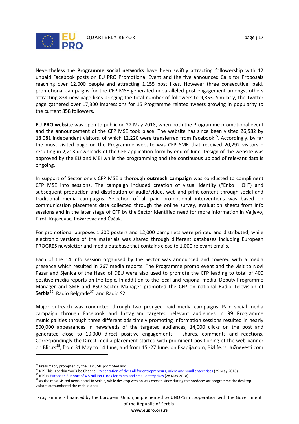

Nevertheless the **Programme social networks** have been swiftly attracting followership with 12 unpaid Facebook posts on EU PRO Promotional Event and the five announced Calls for Proposals reaching over 12,000 people and attracting 1,155 post likes. However three consecutive, paid, promotional campaigns for the CFP MSE generated unparalleled post engagement amongst others attracting 834 new page likes bringing the total number of followers to 9,853. Similarly, the Twitter page gathered over 17,300 impressions for 15 Programme related tweets growing in popularity to the current 858 followers.

**EU PRO website** was open to public on 22 May 2018, when both the Programme promotional event and the announcement of the CFP MSE took place. The website has since been visited 26,582 by 18,081 independent visitors, of which 12,220 were transferred from Facebook<sup>35</sup>. Accordingly, by far the most visited page on the Programme website was CFP SME that received 20,292 visitors – resulting in 2,213 downloads of the CFP application form by end of June. Design of the website was approved by the EU and MEI while the programming and the continuous upload of relevant data is ongoing.

In support of Sector one's CFP MSE a thorough **outreach campaign** was conducted to compliment CFP MSE info sessions. The campaign included creation of visual identity ("Enko i Oli") and subsequent production and distribution of audio/video, web and print content through social and traditional media campaigns. Selection of all paid promotional interventions was based on communication placement data collected through the online survey, evaluation sheets from info sessions and in the later stage of CFP by the Sector identified need for more information in Valjevo, Pirot, Knjaževac, Požarevac and Čačak.

For promotional purposes 1,300 posters and 12,000 pamphlets were printed and distributed, while electronic versions of the materials was shared through different databases including European PROGRES newsletter and media database that contains close to 1,000 relevant emails.

Each of the 14 info session organised by the Sector was announced and covered with a media presence which resulted in 267 media reports. The Programme promo event and the visit to Novi Pazar and Sjenica of the Head of DEU were also used to promote the CFP leading to total of 400 positive media reports on the topic. In addition to the local and regional media, Deputy Programme Manager and SME and BSO Sector Manager promoted the CFP on national Radio Television of Serbia<sup>[36](#page-17-1)</sup>, Radio Belgrade<sup>37</sup>, and Radio S2.

Major outreach was conducted through two pronged paid media campaigns. Paid social media campaign through Facebook and Instagram targeted relevant audiences in 99 Programme municipalities through three different ads timely promoting information sessions resulted in nearly 500,000 appearances in newsfeeds of the targeted audiences, 14,000 clicks on the post and generated close to 10,000 direct positive engagements – shares, comments and reactions. Correspondingly the Direct media placement started with prominent positioning of the web banner on Blic.rs<sup>[38](#page-17-3)</sup>, from 31 May to 14 June, and from 15 -27 June, on Ekapija.com, Bizlife.rs, Južnevesti.com

 $\overline{a}$ 

<span id="page-17-1"></span>

<span id="page-17-3"></span><span id="page-17-2"></span>

<span id="page-17-0"></span><sup>&</sup>lt;sup>35</sup> Presumably prompted by the CFP SME promoted add<br><sup>36</sup> RTS This is Serbia YouTube Channel <u>Presentation of the Call for entrepreneurs, micro and small enterprises</u> [\(](http://www.rts.rs/page/radio/sr/story/23/radio-beograd-1/3149798/talasanje.html)29 May 2018)<br><sup>37</sup> RTS.rs <u>European Support of 4.5 mill</u> visitors outnumbered the mobile ones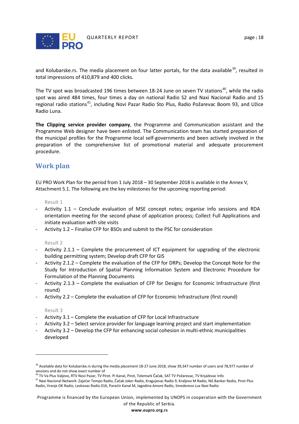

and Kolubarske.rs. The media placement on four latter portals, for the data available<sup>[39](#page-18-1)</sup>, resulted in total impressions of 410,879 and 400 clicks.

The TV spot was broadcasted 196 times between 18-24 June on seven TV stations<sup>40</sup>, while the radio spot was aired 484 times, four times a day on national Radio S2 and Naxi Nacional Radio and 15 regional radio stations<sup>[41](#page-18-3)</sup>, including Novi Pazar Radio Sto Plus, Radio Požarevac Boom 93, and Užice Radio Luna.

**The Clipping service provider company**, the Programme and Communication assistant and the Programme Web designer have been enlisted. The Communication team has started preparation of the municipal profiles for the Programme local self-governments and been actively involved in the preparation of the comprehensive list of promotional material and adequate procurement procedure.

# <span id="page-18-0"></span>**Work plan**

EU PRO Work Plan for the period from 1 July 2018 – 30 September 2018 is available in the Annex V, Attachment 5.1. The following are the key milestones for the upcoming reporting period:

#### Result 1

- Activity 1.1 Conclude evaluation of MSE concept notes; organise info sessions and RDA orientation meeting for the second phase of application process; Collect Full Applications and initiate evaluation with site visits
- Activity 1.2 Finalise CFP for BSOs and submit to the PSC for consideration

#### Result 2

- Activity 2.1.1 Complete the procurement of ICT equipment for upgrading of the electronic building permitting system; Develop draft CFP for GIS
- Activity 2.1.2 Complete the evaluation of the CFP for DRPs; Develop the Concept Note for the Study for Introduction of Spatial Planning Information System and Electronic Procedure for Formulation of the Planning Documents
- Activity 2.1.3 Complete the evaluation of CFP for Designs for Economic Infrastructure (first round)
- Activity 2.2 Complete the evaluation of CFP for Economic Infrastructure (first round)

#### Result 3

 $\overline{a}$ 

- Activity 3.1 Complete the evaluation of CFP for Local Infrastructure
- Activity 3.2 Select service provider for language learning project and start implementation
- Activity 3.2 Develop the CFP for enhancing social cohesion in multi-ethnic municipalities developed

<span id="page-18-1"></span><sup>&</sup>lt;sup>39</sup> Available data for Kolubarske.rs during the media placement 18-27 June 2018, show 39,347 number of users and 78,977 number of sessions and do not show exact number of

<span id="page-18-3"></span><span id="page-18-2"></span>adstruktura se necesnom starom.<br><sup>40</sup> TV Va Plus Valjevo, RTV Novi Pazar, TV Pirot. Pi Kanal, Pirot, Telemark Čačak, SAT TV Požarevac, TV Knjaževac Info<br><sup>41</sup> Naxi Nacional Network: Zaječar Tempo Radio, Čačak Joker Radio, Kr Radio, Vranje OK Radio, Leskovac Radio 016, Paraćin Kanal M, Jagodina Amore Radio, Smederevo Lux Naxi Radio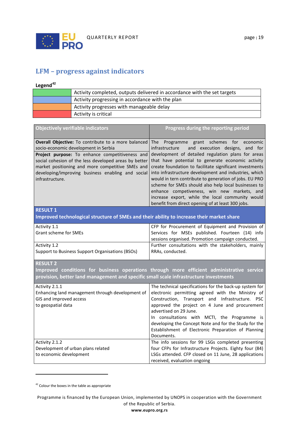

# **LFM – progress against indicators**

# **Legend[42](#page-19-0)**

| Activity completed, outputs delivered in accordance with the set targets |
|--------------------------------------------------------------------------|
| Activity progressing in accordance with the plan                         |
| Activity progresses with manageable delay                                |
| Activity is critical                                                     |

| <b>Objectively verifiable indicators</b>                                                  | Progress during the reporting period                                                                            |  |
|-------------------------------------------------------------------------------------------|-----------------------------------------------------------------------------------------------------------------|--|
| <b>Overall Objective:</b> To contribute to a more balanced                                | Programme grant schemes for economic<br>The                                                                     |  |
| socio-economic development in Serbia                                                      | and execution designs, and for<br>infrastructure                                                                |  |
| Project purpose: To enhance competitiveness and                                           | development of detailed regulation plans for areas                                                              |  |
| social cohesion of the less developed areas by better                                     | that have potential to generate economic activity                                                               |  |
| market positioning and more competitive SMEs and                                          | create foundation to facilitate significant investments                                                         |  |
| developing/improving business enabling and social                                         | into infrastructure development and industries, which<br>would in tern contribute to generation of jobs. EU PRO |  |
| infrastructure.                                                                           | scheme for SMEs should also help local businesses to                                                            |  |
|                                                                                           | enhance competiveness, win new markets, and                                                                     |  |
|                                                                                           | increase export, while the local community would                                                                |  |
|                                                                                           | benefit from direct opening of at least 300 jobs.                                                               |  |
| <b>RESULT 1</b>                                                                           |                                                                                                                 |  |
| Improved technological structure of SMEs and their ability to increase their market share |                                                                                                                 |  |
| Activity 1.1                                                                              | CFP for Procurement of Equipment and Provision of                                                               |  |
| Grant scheme for SMEs                                                                     | Services for MSEs published. Fourteen (14) info                                                                 |  |
|                                                                                           | sessions organised. Promotion campaign conducted.                                                               |  |
| Activity 1.2                                                                              | Further consultations with the stakeholders, mainly                                                             |  |
| Support to Business Support Organisations (BSOs)                                          | RRAs, conducted.                                                                                                |  |
| <b>RESULT 2</b>                                                                           |                                                                                                                 |  |
|                                                                                           | Improved conditions for business operations through more efficient administrative service                       |  |
| provision, better land management and specific small scale infrastructure investments     |                                                                                                                 |  |
| Activity 2.1.1                                                                            |                                                                                                                 |  |
|                                                                                           |                                                                                                                 |  |
|                                                                                           |                                                                                                                 |  |
| Enhancing land management through development of                                          | The technical specifications for the back-up system for<br>electronic permitting agreed with the Ministry of    |  |
| GIS and improved access<br>to geospatial data                                             | Construction, Transport and Infrastructure. PSC<br>approved the project on 4 June and procurement               |  |

| advertised on 29 June.                                  |
|---------------------------------------------------------|
|                                                         |
| In consultations with MCTI, the Programme is            |
| developing the Concept Note and for the Study for the   |
| Establishment of Electronic Preparation of Planning     |
| Documents.                                              |
|                                                         |
| The info sessions for 99 LSGs completed presenting      |
| four CFPs for Infrastructure Projects. Eighty four (84) |
|                                                         |

received, evaluation ongoing

 $\overline{a}$ 

<span id="page-19-0"></span><sup>&</sup>lt;sup>42</sup> Colour the boxes in the table as appropriate

Programme is financed by the European Union, implemented by UNOPS in cooperation with the Government of the Republic of Serbia.